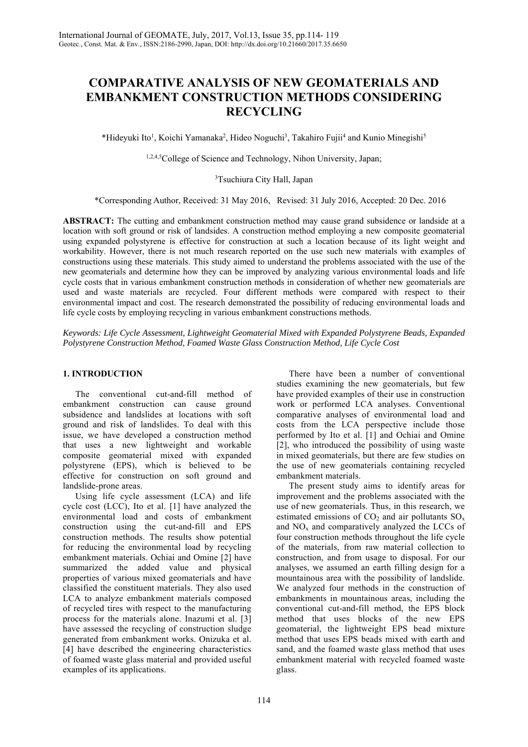# **COMPARATIVE ANALYSIS OF NEW GEOMATERIALS AND EMBANKMENT CONSTRUCTION METHODS CONSIDERING RECYCLING**

\*Hideyuki Ito<sup>1</sup>, Koichi Yamanaka<sup>2</sup>, Hideo Noguchi<sup>3</sup>, Takahiro Fujii<sup>4</sup> and Kunio Minegishi<sup>5</sup>

1,2,4,5College of Science and Technology, Nihon University, Japan;

3 Tsuchiura City Hall, Japan

\*Corresponding Author, Received: 31 May 2016, Revised: 31 July 2016, Accepted: 20 Dec. 2016

**ABSTRACT:** The cutting and embankment construction method may cause grand subsidence or landside at a location with soft ground or risk of landsides. A construction method employing a new composite geomaterial using expanded polystyrene is effective for construction at such a location because of its light weight and workability. However, there is not much research reported on the use such new materials with examples of constructions using these materials. This study aimed to understand the problems associated with the use of the new geomaterials and determine how they can be improved by analyzing various environmental loads and life cycle costs that in various embankment construction methods in consideration of whether new geomaterials are used and waste materials are recycled. Four different methods were compared with respect to their environmental impact and cost. The research demonstrated the possibility of reducing environmental loads and life cycle costs by employing recycling in various embankment constructions methods.

*Keywords: Life Cycle Assessment, Lightweight Geomaterial Mixed with Expanded Polystyrene Beads, Expanded Polystyrene Construction Method, Foamed Waste Glass Construction Method, Life Cycle Cost* 

# **1. INTRODUCTION**

The conventional cut-and-fill method of embankment construction can cause ground subsidence and landslides at locations with soft ground and risk of landslides. To deal with this issue, we have developed a construction method that uses a new lightweight and workable composite geomaterial mixed with expanded polystyrene (EPS), which is believed to be effective for construction on soft ground and landslide-prone areas.

Using life cycle assessment (LCA) and life cycle cost (LCC), Ito et al. [1] have analyzed the environmental load and costs of embankment construction using the cut-and-fill and EPS construction methods. The results show potential for reducing the environmental load by recycling embankment materials. Ochiai and Omine [2] have summarized the added value and physical properties of various mixed geomaterials and have classified the constituent materials. They also used LCA to analyze embankment materials composed of recycled tires with respect to the manufacturing process for the materials alone. Inazumi et al. [3] have assessed the recycling of construction sludge generated from embankment works. Onizuka et al. [4] have described the engineering characteristics of foamed waste glass material and provided useful examples of its applications.

There have been a number of conventional studies examining the new geomaterials, but few have provided examples of their use in construction work or performed LCA analyses. Conventional comparative analyses of environmental load and costs from the LCA perspective include those performed by Ito et al. [1] and Ochiai and Omine [2], who introduced the possibility of using waste in mixed geomaterials, but there are few studies on the use of new geomaterials containing recycled embankment materials.

The present study aims to identify areas for improvement and the problems associated with the use of new geomaterials. Thus, in this research, we estimated emissions of  $CO<sub>2</sub>$  and air pollutants  $SO<sub>x</sub>$ and  $NO<sub>x</sub>$  and comparatively analyzed the LCCs of four construction methods throughout the life cycle of the materials, from raw material collection to construction, and from usage to disposal. For our analyses, we assumed an earth filling design for a mountainous area with the possibility of landslide. We analyzed four methods in the construction of embankments in mountainous areas, including the conventional cut-and-fill method, the EPS block method that uses blocks of the new EPS geomaterial, the lightweight EPS bead mixture method that uses EPS beads mixed with earth and sand, and the foamed waste glass method that uses embankment material with recycled foamed waste glass.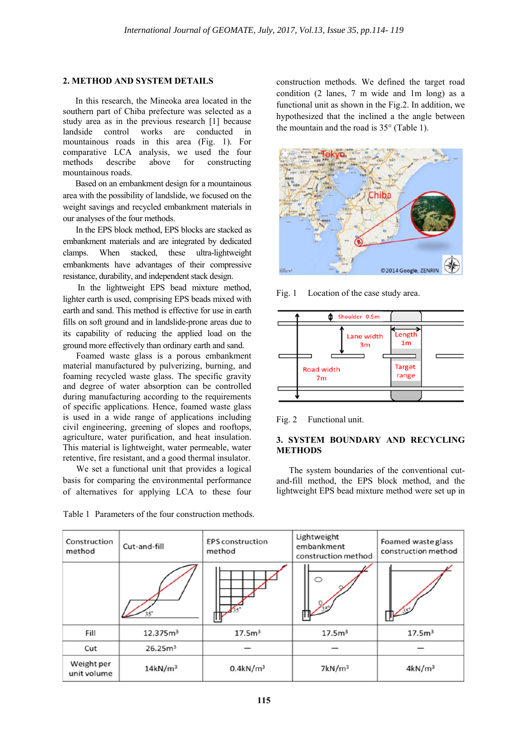#### **2. METHOD AND SYSTEM DETAILS**

In this research, the Mineoka area located in the southern part of Chiba prefecture was selected as a study area as in the previous research [1] because landside control works are conducted in mountainous roads in this area (Fig. 1). For comparative LCA analysis, we used the four methods describe above for constructing mountainous roads.

Based on an embankment design for a mountainous area with the possibility of landslide, we focused on the weight savings and recycled embankment materials in our analyses of the four methods.

In the EPS block method, EPS blocks are stacked as embankment materials and are integrated by dedicated clamps. When stacked, these ultra-lightweight embankments have advantages of their compressive resistance, durability, and independent stack design.

 In the lightweight EPS bead mixture method, lighter earth is used, comprising EPS beads mixed with earth and sand. This method is effective for use in earth fills on soft ground and in landslide-prone areas due to its capability of reducing the applied load on the ground more effectively than ordinary earth and sand.

Foamed waste glass is a porous embankment material manufactured by pulverizing, burning, and foaming recycled waste glass. The specific gravity and degree of water absorption can be controlled during manufacturing according to the requirements of specific applications. Hence, foamed waste glass is used in a wide range of applications including civil engineering, greening of slopes and rooftops, agriculture, water purification, and heat insulation. This material is lightweight, water permeable, water retentive, fire resistant, and a good thermal insulator.

We set a functional unit that provides a logical basis for comparing the environmental performance of alternatives for applying LCA to these four

construction methods. We defined the target road condition (2 lanes, 7 m wide and 1m long) as a functional unit as shown in the Fig.2. In addition, we hypothesized that the inclined a the angle between the mountain and the road is 35° (Table 1).



Fig. 1 Location of the case study area.



Fig. 2 Functional unit.

# **3. SYSTEM BOUNDARY AND RECYCLING METHODS**

The system boundaries of the conventional cutand-fill method, the EPS block method, and the lightweight EPS bead mixture method were set up in

| Construction<br>method    | Cut-and-fill         | <b>EPS</b> construction<br>method | Lightweight<br>embankment<br>construction method | Foamed waste glass<br>construction method |
|---------------------------|----------------------|-----------------------------------|--------------------------------------------------|-------------------------------------------|
|                           |                      |                                   |                                                  |                                           |
| Fill                      | 12.375m <sup>3</sup> | 17.5 <sup>m3</sup>                | 17.5m <sup>3</sup>                               | 17.5m <sup>3</sup>                        |
| Cut                       | 26.25m <sup>3</sup>  |                                   |                                                  |                                           |
| Weight per<br>unit volume | 14kN/m <sup>3</sup>  | $0.4$ kN/m <sup>3</sup>           | 7kN/m <sup>3</sup>                               | 4kN/m <sup>3</sup>                        |

Table 1 Parameters of the four construction methods.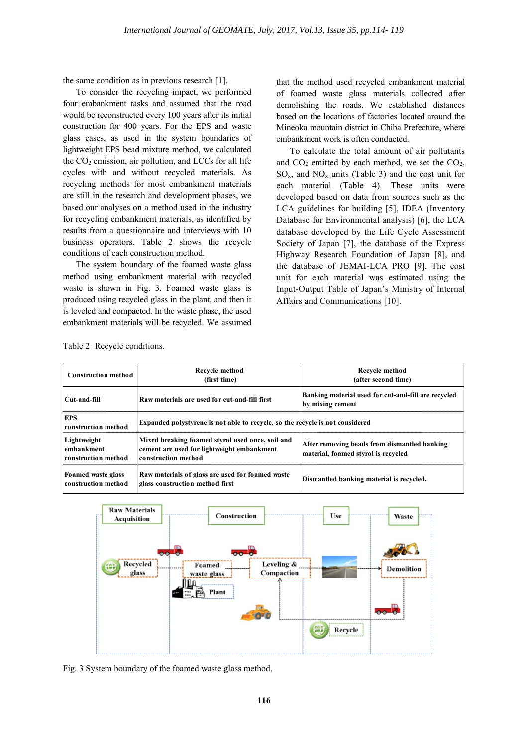the same condition as in previous research [1].

To consider the recycling impact, we performed four embankment tasks and assumed that the road would be reconstructed every 100 years after its initial construction for 400 years. For the EPS and waste glass cases, as used in the system boundaries of lightweight EPS bead mixture method, we calculated the  $CO<sub>2</sub>$  emission, air pollution, and LCCs for all life cycles with and without recycled materials. As recycling methods for most embankment materials are still in the research and development phases, we based our analyses on a method used in the industry for recycling embankment materials, as identified by results from a questionnaire and interviews with 10 business operators. Table 2 shows the recycle conditions of each construction method.

The system boundary of the foamed waste glass method using embankment material with recycled waste is shown in Fig. 3. Foamed waste glass is produced using recycled glass in the plant, and then it is leveled and compacted. In the waste phase, the used embankment materials will be recycled. We assumed

that the method used recycled embankment material of foamed waste glass materials collected after demolishing the roads. We established distances based on the locations of factories located around the Mineoka mountain district in Chiba Prefecture, where embankment work is often conducted.

To calculate the total amount of air pollutants and  $CO<sub>2</sub>$  emitted by each method, we set the  $CO<sub>2</sub>$ ,  $SO_x$ , and  $NO_x$  units (Table 3) and the cost unit for each material (Table 4). These units were developed based on data from sources such as the LCA guidelines for building [5], IDEA (Inventory Database for Environmental analysis) [6], the LCA database developed by the Life Cycle Assessment Society of Japan [7], the database of the Express Highway Research Foundation of Japan [8], and the database of JEMAI-LCA PRO [9]. The cost unit for each material was estimated using the Input-Output Table of Japan's Ministry of Internal Affairs and Communications [10].

Table 2 Recycle conditions.

| <b>Construction method</b>                       | Recycle method<br>(first time)                                                                                        | Recycle method<br>(after second time)                                               |  |
|--------------------------------------------------|-----------------------------------------------------------------------------------------------------------------------|-------------------------------------------------------------------------------------|--|
| Cut-and-fill                                     | Raw materials are used for cut-and-fill first                                                                         | Banking material used for cut-and-fill are recycled<br>by mixing cement             |  |
| <b>EPS</b><br>construction method                | Expanded polystyrene is not able to recycle, so the recycle is not considered                                         |                                                                                     |  |
| Lightweight<br>embankment<br>construction method | Mixed breaking foamed styrol used once, soil and<br>cement are used for lightweight embankment<br>construction method | After removing beads from dismantled banking<br>material, foamed styrol is recycled |  |
| Foamed waste glass<br>construction method        | Raw materials of glass are used for foamed waste<br>glass construction method first                                   | Dismantled banking material is recycled.                                            |  |



Fig. 3 System boundary of the foamed waste glass method.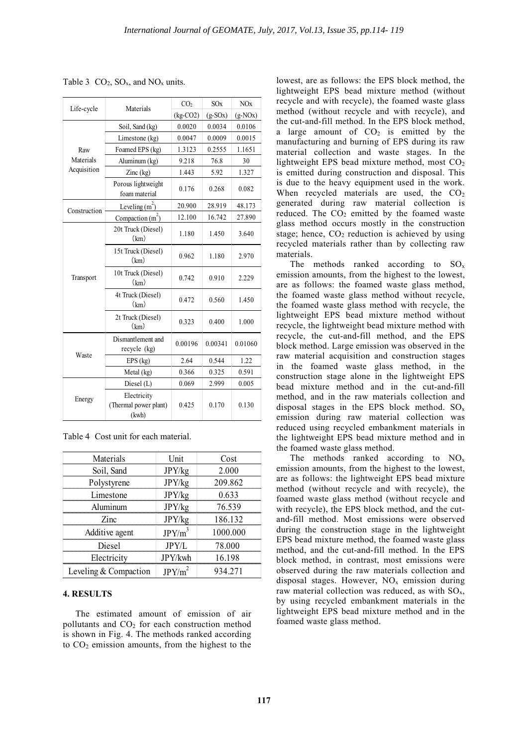| Life-cycle   | Materials                                     | CO <sub>2</sub> | SOx       | NOx       |
|--------------|-----------------------------------------------|-----------------|-----------|-----------|
|              |                                               | $(kg-CO2)$      | $(g-SOx)$ | $(g-NOx)$ |
|              | Soil, Sand (kg)                               | 0.0020          | 0.0034    | 0.0106    |
|              | Limestone (kg)                                | 0.0047          | 0.0009    | 0.0015    |
| Raw          | Foamed EPS (kg)                               | 1.3123          | 0.2555    | 1.1651    |
| Materials    | Aluminum (kg)                                 | 9.218           | 76.8      | 30        |
| Acquisition  | $\text{Zinc}$ (kg)                            | 1.443           | 5.92      | 1.327     |
|              | Porous lightweight<br>foam material           | 0.176           | 0.268     | 0.082     |
| Construction | Leveling $(m^2)$                              | 20.900          | 28.919    | 48.173    |
|              | Compaction $(m2)$                             | 12.100          | 16.742    | 27.890    |
| Transport    | 20t Truck (Diesel)<br>(km)                    | 1.180           | 1.450     | 3.640     |
|              | 15t Truck (Diesel)<br>(km)                    | 0.962           | 1.180     | 2.970     |
|              | 10t Truck (Diesel)<br>(km)                    | 0.742           | 0.910     | 2.229     |
|              | 4t Truck (Diesel)<br>(km)                     | 0.472           | 0.560     | 1.450     |
|              | 2t Truck (Diesel)<br>(km)                     | 0.323           | 0.400     | 1.000     |
|              | Dismantlement and<br>recycle (kg)             | 0.00196         | 0.00341   | 0.01060   |
| Waste        | $EPS$ (kg)                                    | 2.64            | 0.544     | 1.22      |
|              | Metal (kg)                                    | 0.366           | 0.325     | 0.591     |
|              | Diesel (L)                                    | 0.069           | 2.999     | 0.005     |
| Energy       | Electricity<br>(Thermal power plant)<br>(kwh) | 0.425           | 0.170     | 0.130     |

Table 3  $CO_2$ ,  $SO_x$ , and  $NO_x$  units.

|  |  | Table 4 Cost unit for each material. |
|--|--|--------------------------------------|
|--|--|--------------------------------------|

| Materials             | Unit               | Cost     |
|-----------------------|--------------------|----------|
| Soil, Sand            | JPY/kg             | 2.000    |
| Polystyrene           | JPY/kg             | 209.862  |
| Limestone             | JPY/kg             | 0.633    |
| Aluminum              | JPY/kg             | 76.539   |
| Zinc.                 | JPY/kg             | 186.132  |
| Additive agent        | $JPY/m^3$          | 1000.000 |
| Diesel                | JPY/L              | 78.000   |
| Electricity           | JPY/kwh            | 16.198   |
| Leveling & Compaction | JPY/m <sup>2</sup> | 934.271  |

### **4. RESULTS**

The estimated amount of emission of air pollutants and CO2 for each construction method is shown in Fig. 4. The methods ranked according to CO<sub>2</sub> emission amounts, from the highest to the lowest, are as follows: the EPS block method, the lightweight EPS bead mixture method (without recycle and with recycle), the foamed waste glass method (without recycle and with recycle), and the cut-and-fill method. In the EPS block method, a large amount of  $CO<sub>2</sub>$  is emitted by the manufacturing and burning of EPS during its raw material collection and waste stages. In the lightweight EPS bead mixture method, most  $CO<sub>2</sub>$ is emitted during construction and disposal. This is due to the heavy equipment used in the work. When recycled materials are used, the  $CO<sub>2</sub>$ generated during raw material collection is reduced. The  $CO<sub>2</sub>$  emitted by the foamed waste glass method occurs mostly in the construction stage; hence,  $CO<sub>2</sub>$  reduction is achieved by using recycled materials rather than by collecting raw materials.

The methods ranked according to  $SO_x$ emission amounts, from the highest to the lowest, are as follows: the foamed waste glass method, the foamed waste glass method without recycle, the foamed waste glass method with recycle, the lightweight EPS bead mixture method without recycle, the lightweight bead mixture method with recycle, the cut-and-fill method, and the EPS block method. Large emission was observed in the raw material acquisition and construction stages in the foamed waste glass method, in the construction stage alone in the lightweight EPS bead mixture method and in the cut-and-fill method, and in the raw materials collection and disposal stages in the EPS block method.  $SO_x$ emission during raw material collection was reduced using recycled embankment materials in the lightweight EPS bead mixture method and in the foamed waste glass method.

The methods ranked according to  $NO<sub>x</sub>$ emission amounts, from the highest to the lowest, are as follows: the lightweight EPS bead mixture method (without recycle and with recycle), the foamed waste glass method (without recycle and with recycle), the EPS block method, and the cutand-fill method. Most emissions were observed during the construction stage in the lightweight EPS bead mixture method, the foamed waste glass method, and the cut-and-fill method. In the EPS block method, in contrast, most emissions were observed during the raw materials collection and disposal stages. However,  $NO<sub>x</sub>$  emission during raw material collection was reduced, as with  $SO<sub>x</sub>$ , by using recycled embankment materials in the lightweight EPS bead mixture method and in the foamed waste glass method.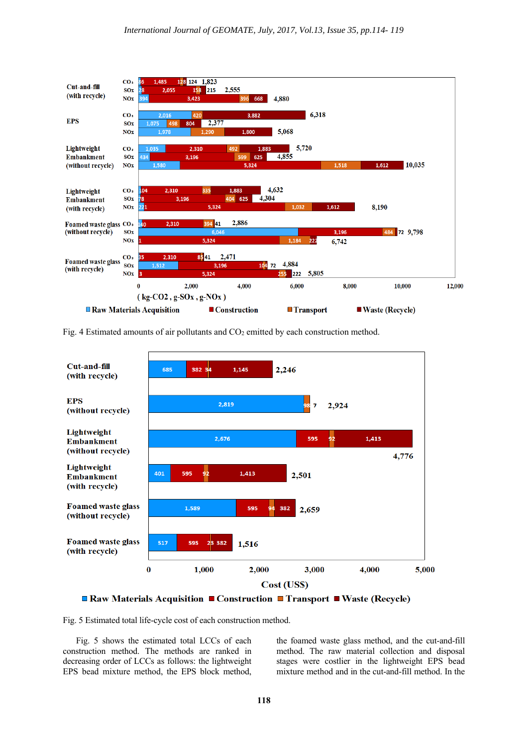

Fig. 4 Estimated amounts of air pollutants and  $CO<sub>2</sub>$  emitted by each construction method.



**■ Raw Materials Acquisition ■ Construction ■ Transport ■ Waste (Recycle)** 

Fig. 5 Estimated total life-cycle cost of each construction method.

Fig. 5 shows the estimated total LCCs of each construction method. The methods are ranked in decreasing order of LCCs as follows: the lightweight EPS bead mixture method, the EPS block method, the foamed waste glass method, and the cut-and-fill method. The raw material collection and disposal stages were costlier in the lightweight EPS bead mixture method and in the cut-and-fill method. In the